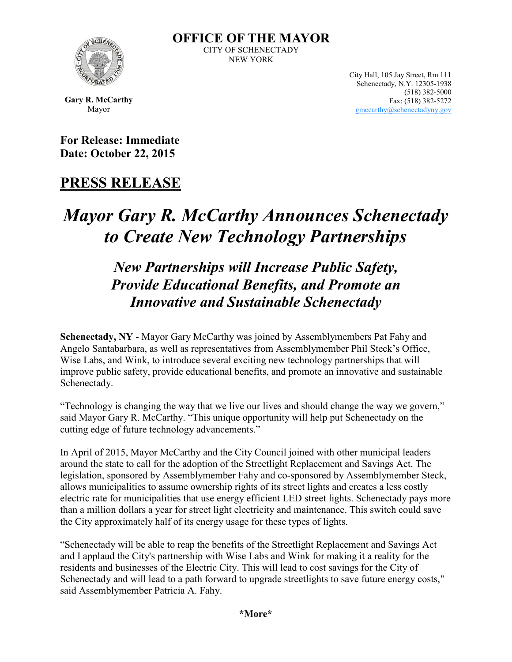

**OFFICE OF THE MAYOR** CITY OF SCHENECTADY NEW YORK

> City Hall, 105 Jay Street, Rm 111 Schenectady, N.Y. 12305-1938 (518) 382-5000 Fax: (518) 382-5272 [gmccarthy@schenectadyny.gov](mailto:gmccarthy@schenectadyny.gov)

**Gary R. McCarthy** Mayor

**For Release: Immediate Date: October 22, 2015**

### **PRESS RELEASE**

# *Mayor Gary R. McCarthy Announces Schenectady to Create New Technology Partnerships*

## *New Partnerships will Increase Public Safety, Provide Educational Benefits, and Promote an Innovative and Sustainable Schenectady*

**Schenectady, NY** - Mayor Gary McCarthy was joined by Assemblymembers Pat Fahy and Angelo Santabarbara, as well as representatives from Assemblymember Phil Steck's Office, Wise Labs, and Wink, to introduce several exciting new technology partnerships that will improve public safety, provide educational benefits, and promote an innovative and sustainable Schenectady.

"Technology is changing the way that we live our lives and should change the way we govern," said Mayor Gary R. McCarthy. "This unique opportunity will help put Schenectady on the cutting edge of future technology advancements."

In April of 2015, Mayor McCarthy and the City Council joined with other municipal leaders around the state to call for the adoption of the Streetlight Replacement and Savings Act. The legislation, sponsored by Assemblymember Fahy and co-sponsored by Assemblymember Steck, allows municipalities to assume ownership rights of its street lights and creates a less costly electric rate for municipalities that use energy efficient LED street lights. Schenectady pays more than a million dollars a year for street light electricity and maintenance. This switch could save the City approximately half of its energy usage for these types of lights.

"Schenectady will be able to reap the benefits of the Streetlight Replacement and Savings Act and I applaud the City's partnership with Wise Labs and Wink for making it a reality for the residents and businesses of the Electric City. This will lead to cost savings for the City of Schenectady and will lead to a path forward to upgrade streetlights to save future energy costs," said Assemblymember Patricia A. Fahy.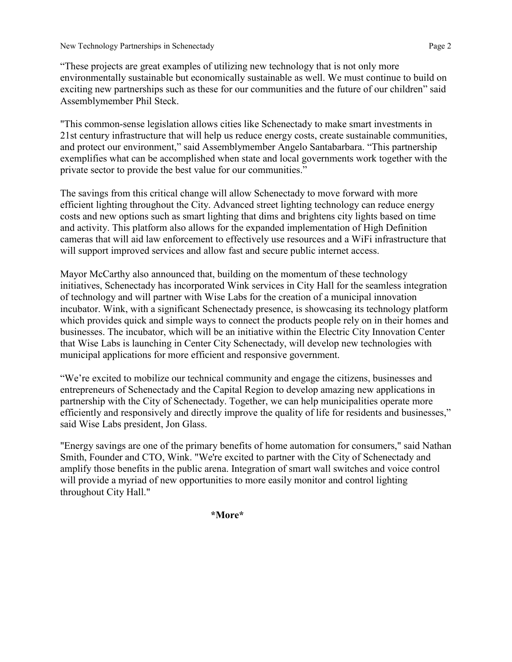New Technology Partnerships in Schenectady Page 2

"These projects are great examples of utilizing new technology that is not only more environmentally sustainable but economically sustainable as well. We must continue to build on exciting new partnerships such as these for our communities and the future of our children" said Assemblymember Phil Steck.

"This common-sense legislation allows cities like Schenectady to make smart investments in 21st century infrastructure that will help us reduce energy costs, create sustainable communities, and protect our environment," said Assemblymember Angelo Santabarbara. "This partnership exemplifies what can be accomplished when state and local governments work together with the private sector to provide the best value for our communities."

The savings from this critical change will allow Schenectady to move forward with more efficient lighting throughout the City. Advanced street lighting technology can reduce energy costs and new options such as smart lighting that dims and brightens city lights based on time and activity. This platform also allows for the expanded implementation of High Definition cameras that will aid law enforcement to effectively use resources and a WiFi infrastructure that will support improved services and allow fast and secure public internet access.

Mayor McCarthy also announced that, building on the momentum of these technology initiatives, Schenectady has incorporated Wink services in City Hall for the seamless integration of technology and will partner with Wise Labs for the creation of a municipal innovation incubator. Wink, with a significant Schenectady presence, is showcasing its technology platform which provides quick and simple ways to connect the products people rely on in their homes and businesses. The incubator, which will be an initiative within the Electric City Innovation Center that Wise Labs is launching in Center City Schenectady, will develop new technologies with municipal applications for more efficient and responsive government.

"We're excited to mobilize our technical community and engage the citizens, businesses and entrepreneurs of Schenectady and the Capital Region to develop amazing new applications in partnership with the City of Schenectady. Together, we can help municipalities operate more efficiently and responsively and directly improve the quality of life for residents and businesses," said Wise Labs president, Jon Glass.

"Energy savings are one of the primary benefits of home automation for consumers," said Nathan Smith, Founder and CTO, Wink. "We're excited to partner with the City of Schenectady and amplify those benefits in the public arena. Integration of smart wall switches and voice control will provide a myriad of new opportunities to more easily monitor and control lighting throughout City Hall."

**\*More\***